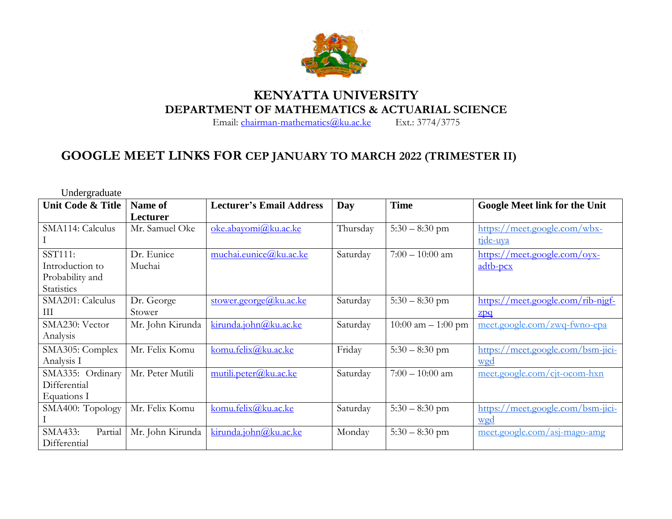

## **KENYATTA UNIVERSITY DEPARTMENT OF MATHEMATICS & ACTUARIAL SCIENCE**<br>Email: chairman-mathematics@ku.ac.ke Ext.: 3774/3775

Email: [chairman-mathematics@ku.ac.ke](mailto:chairman-mathematics@ku.ac.ke)

## **GOOGLE MEET LINKS FOR CEP JANUARY TO MARCH 2022 (TRIMESTER II)**

| Undergraduate      |                  |                                 |          |                      |                                      |
|--------------------|------------------|---------------------------------|----------|----------------------|--------------------------------------|
| Unit Code & Title  | Name of          | <b>Lecturer's Email Address</b> | Day      | <b>Time</b>          | <b>Google Meet link for the Unit</b> |
|                    | Lecturer         |                                 |          |                      |                                      |
| SMA114: Calculus   | Mr. Samuel Oke   | oke.abayomi@ku.ac.ke            | Thursday | $5:30 - 8:30$ pm     | https://meet.google.com/wbx-         |
|                    |                  |                                 |          |                      | tide-uya                             |
| SST111:            | Dr. Eunice       | muchai.eunice@ku.ac.ke          | Saturday | $7:00 - 10:00$ am    | https://meet.google.com/oyx-         |
| Introduction to    | Muchai           |                                 |          |                      | $\frac{adtb-pcx}{ac}$                |
| Probability and    |                  |                                 |          |                      |                                      |
| Statistics         |                  |                                 |          |                      |                                      |
| SMA201: Calculus   | Dr. George       | stower.george@ $k$ u.ac.ke      | Saturday | $5:30 - 8:30$ pm     | https://meet.google.com/rib-nigf-    |
| Ш                  | Stower           |                                 |          |                      | 2pq                                  |
| SMA230: Vector     | Mr. John Kirunda | kirunda.john@ku.acke            | Saturday | 10:00 am $-$ 1:00 pm | meet.google.com/zwq-fwno-epa         |
| Analysis           |                  |                                 |          |                      |                                      |
| SMA305: Complex    | Mr. Felix Komu   | komu.felix@ku.ac.ke             | Friday   | $5:30 - 8:30$ pm     | https://meet.google.com/bsm-jici-    |
| Analysis I         |                  |                                 |          |                      | wgd                                  |
| SMA335: Ordinary   | Mr. Peter Mutili | mutili.peter@ku.ac.ke           | Saturday | $7:00 - 10:00$ am    | meet.google.com/cjt-ocom-hxn         |
| Differential       |                  |                                 |          |                      |                                      |
| Equations I        |                  |                                 |          |                      |                                      |
| SMA400: Topology   | Mr. Felix Komu   | komu.felix@ku.ac.ke             | Saturday | $5:30 - 8:30$ pm     | <u>/meet.google.com/bsm-jici-</u>    |
|                    |                  |                                 |          |                      | wgd                                  |
| SMA433:<br>Partial | Mr. John Kirunda | kirunda.john@ku.ac.ke           | Monday   | $5:30 - 8:30$ pm     | <u>meet.google.com/asj-mago-amg</u>  |
| Differential       |                  |                                 |          |                      |                                      |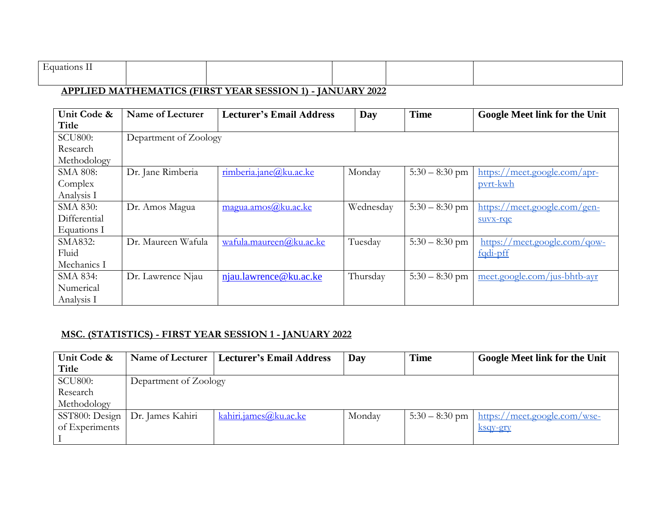| $\blacksquare$<br>Hauations L |  |  |  |
|-------------------------------|--|--|--|
|                               |  |  |  |

## **APPLIED MATHEMATICS (FIRST YEAR SESSION 1) - JANUARY 2022**

| Unit Code &     | Name of Lecturer   | <b>Lecturer's Email Address</b> | Day       | <b>Time</b>      | <b>Google Meet link for the Unit</b>                          |  |  |  |
|-----------------|--------------------|---------------------------------|-----------|------------------|---------------------------------------------------------------|--|--|--|
| Title           |                    |                                 |           |                  |                                                               |  |  |  |
| <b>SCU800:</b>  |                    | Department of Zoology           |           |                  |                                                               |  |  |  |
| Research        |                    |                                 |           |                  |                                                               |  |  |  |
| Methodology     |                    |                                 |           |                  |                                                               |  |  |  |
| <b>SMA 808:</b> | Dr. Jane Rimberia  | rimberia.jane@ku.ac.ke          | Monday    | $5:30 - 8:30$ pm | https://meet.google.com/apr-                                  |  |  |  |
| Complex         |                    |                                 |           |                  | pvrt-kwh                                                      |  |  |  |
| Analysis I      |                    |                                 |           |                  |                                                               |  |  |  |
| SMA 830:        | Dr. Amos Magua     | magua.amos@ku.ac.ke             | Wednesday | $5:30 - 8:30$ pm | https://meet.google.com/gen-                                  |  |  |  |
| Differential    |                    |                                 |           |                  | suvx-rqe                                                      |  |  |  |
| Equations I     |                    |                                 |           |                  |                                                               |  |  |  |
| SMA832:         | Dr. Maureen Wafula | wafula.maureen@ku.ac.ke         | Tuesday   | $5:30 - 8:30$ pm | $\frac{1}{\text{meet.google.com}}$ and $\frac{1}{\text{row}}$ |  |  |  |
| Fluid           |                    |                                 |           |                  | fqdi-pff                                                      |  |  |  |
| Mechanics I     |                    |                                 |           |                  |                                                               |  |  |  |
| SMA 834:        | Dr. Lawrence Njau  | njau.lawrence@ku.ac.ke          | Thursday  | $5:30 - 8:30$ pm | meet.google.com/jus-bhtb-ayr                                  |  |  |  |
| Numerical       |                    |                                 |           |                  |                                                               |  |  |  |
| Analysis I      |                    |                                 |           |                  |                                                               |  |  |  |

## **MSC. (STATISTICS) - FIRST YEAR SESSION 1 - JANUARY 2022**

| Unit Code &    |                       | Name of Lecturer   Lecturer's Email Address | Day    | <b>Time</b>      | <b>Google Meet link for the Unit</b> |  |
|----------------|-----------------------|---------------------------------------------|--------|------------------|--------------------------------------|--|
| Title          |                       |                                             |        |                  |                                      |  |
| <b>SCU800:</b> | Department of Zoology |                                             |        |                  |                                      |  |
| Research       |                       |                                             |        |                  |                                      |  |
| Methodology    |                       |                                             |        |                  |                                      |  |
| SST800: Design | Dr. James Kahiri      | <u>kahiri.james@ku.ac.ke</u>                | Monday | $5:30 - 8:30$ pm | https://meet.google.com/wse-         |  |
| of Experiments |                       |                                             |        |                  | <u>ksqy-gry</u>                      |  |
|                |                       |                                             |        |                  |                                      |  |